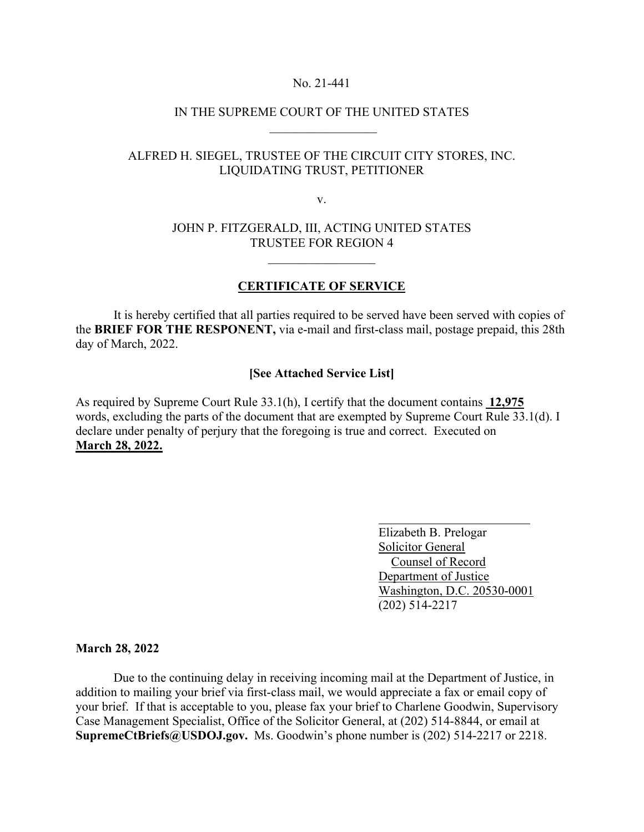#### No. 21-441

## IN THE SUPREME COURT OF THE UNITED STATES  $\frac{1}{2}$  ,  $\frac{1}{2}$  ,  $\frac{1}{2}$  ,  $\frac{1}{2}$  ,  $\frac{1}{2}$  ,  $\frac{1}{2}$  ,  $\frac{1}{2}$  ,  $\frac{1}{2}$  ,  $\frac{1}{2}$  ,  $\frac{1}{2}$

# ALFRED H. SIEGEL, TRUSTEE OF THE CIRCUIT CITY STORES, INC. LIQUIDATING TRUST, PETITIONER

v.

### JOHN P. FITZGERALD, III, ACTING UNITED STATES TRUSTEE FOR REGION 4

#### **CERTIFICATE OF SERVICE**

It is hereby certified that all parties required to be served have been served with copies of the **BRIEF FOR THE RESPONENT,** via e-mail and first-class mail, postage prepaid, this 28th day of March, 2022.

#### **[See Attached Service List]**

As required by Supreme Court Rule 33.1(h), I certify that the document contains **12,975**  words, excluding the parts of the document that are exempted by Supreme Court Rule 33.1(d). I declare under penalty of perjury that the foregoing is true and correct. Executed on **March 28, 2022.**

> Elizabeth B. Prelogar Solicitor General Counsel of Record Department of Justice Washington, D.C. 20530-0001 (202) 514-2217

**March 28, 2022**

Due to the continuing delay in receiving incoming mail at the Department of Justice, in addition to mailing your brief via first-class mail, we would appreciate a fax or email copy of your brief. If that is acceptable to you, please fax your brief to Charlene Goodwin, Supervisory Case Management Specialist, Office of the Solicitor General, at (202) 514-8844, or email at **SupremeCtBriefs@USDOJ.gov.** Ms. Goodwin's phone number is (202) 514-2217 or 2218.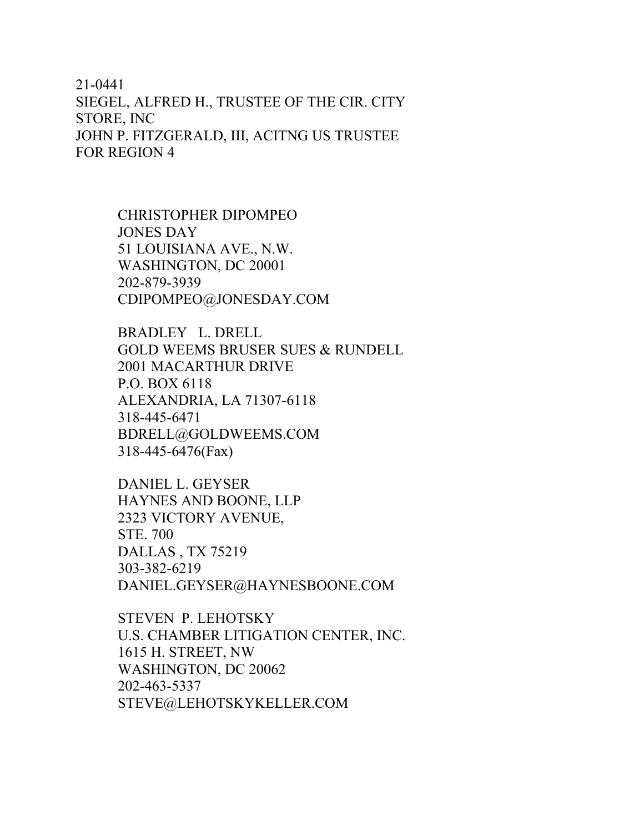# 21-0441 SIEGEL, ALFRED H., TRUSTEE OF THE CIR. CITY STORE, INC JOHN P. FITZGERALD, III, ACITNG US TRUSTEE FOR REGION 4

CHRISTOPHER DIPOMPEO JONES DAY 51 LOUISIANA AVE., N.W. WASHINGTON, DC 20001 202-879-3939 CDIPOMPEO@JONESDAY.COM

BRADLEY L. DRELL GOLD WEEMS BRUSER SUES & RUNDELL 2001 MACARTHUR DRIVE P.O. BOX 6118 ALEXANDRIA, LA 71307-6118 318-445-6471 BDRELL@GOLDWEEMS.COM 318-445-6476(Fax)

DANIEL L. GEYSER HAYNES AND BOONE, LLP 2323 VICTORY AVENUE, STE. 700 DALLAS , TX 75219 303-382-6219 DANIEL.GEYSER@HAYNESBOONE.COM

STEVEN P. LEHOTSKY U.S. CHAMBER LITIGATION CENTER, INC. 1615 H. STREET, NW WASHINGTON, DC 20062 202-463-5337 STEVE@LEHOTSKYKELLER.COM